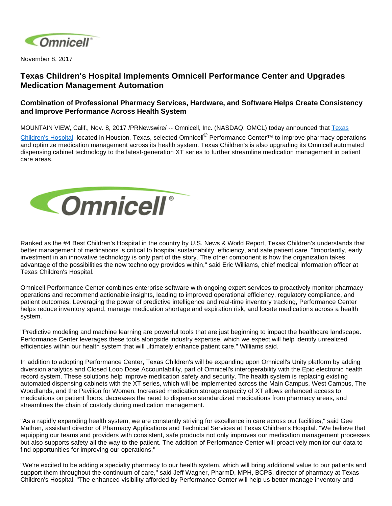

November 8, 2017

## **Texas Children's Hospital Implements Omnicell Performance Center and Upgrades Medication Management Automation**

## **Combination of Professional Pharmacy Services, Hardware, and Software Helps Create Consistency and Improve Performance Across Health System**

MOUNTAIN VIEW, Calif., Nov. 8, 2017 /PRNewswire/ -- Omnicell, Inc. (NASDAQ: OMCL) today announced that [Texas](http://www.texaschildrens.org/) 

[Children's Hospital](http://www.texaschildrens.org/), located in Houston, Texas, selected Omnicell<sup>®</sup> Performance Center™ to improve pharmacy operations and optimize medication management across its health system. Texas Children's is also upgrading its Omnicell automated dispensing cabinet technology to the latest-generation XT series to further streamline medication management in patient care areas.



Ranked as the #4 Best Children's Hospital in the country by U.S. News & World Report, Texas Children's understands that better management of medications is critical to hospital sustainability, efficiency, and safe patient care. "Importantly, early investment in an innovative technology is only part of the story. The other component is how the organization takes advantage of the possibilities the new technology provides within," said Eric Williams, chief medical information officer at Texas Children's Hospital.

Omnicell Performance Center combines enterprise software with ongoing expert services to proactively monitor pharmacy operations and recommend actionable insights, leading to improved operational efficiency, regulatory compliance, and patient outcomes. Leveraging the power of predictive intelligence and real-time inventory tracking, Performance Center helps reduce inventory spend, manage medication shortage and expiration risk, and locate medications across a health system.

"Predictive modeling and machine learning are powerful tools that are just beginning to impact the healthcare landscape. Performance Center leverages these tools alongside industry expertise, which we expect will help identify unrealized efficiencies within our health system that will ultimately enhance patient care," Williams said.

In addition to adopting Performance Center, Texas Children's will be expanding upon Omnicell's Unity platform by adding diversion analytics and Closed Loop Dose Accountability, part of Omnicell's interoperability with the Epic electronic health record system. These solutions help improve medication safety and security. The health system is replacing existing automated dispensing cabinets with the XT series, which will be implemented across the Main Campus, West Campus, The Woodlands, and the Pavilion for Women. Increased medication storage capacity of XT allows enhanced access to medications on patient floors, decreases the need to dispense standardized medications from pharmacy areas, and streamlines the chain of custody during medication management.

"As a rapidly expanding health system, we are constantly striving for excellence in care across our facilities," said Gee Mathen, assistant director of Pharmacy Applications and Technical Services at Texas Children's Hospital. "We believe that equipping our teams and providers with consistent, safe products not only improves our medication management processes but also supports safety all the way to the patient. The addition of Performance Center will proactively monitor our data to find opportunities for improving our operations."

"We're excited to be adding a specialty pharmacy to our health system, which will bring additional value to our patients and support them throughout the continuum of care," said Jeff Wagner, PharmD, MPH, BCPS, director of pharmacy at Texas Children's Hospital. "The enhanced visibility afforded by Performance Center will help us better manage inventory and